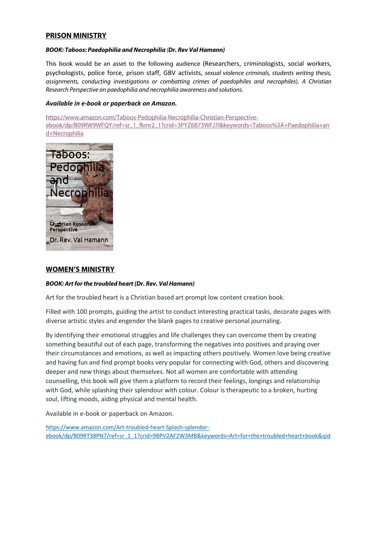# **PRISON MINISTRY**

#### *BOOK: Taboos: Paedophilia and Necrophilia (Dr. Rev Val Hamann)*

This book would be an asset to the following audience (Researchers, criminologists, social workers, psychologists, police force, prison staff, GBV activists, *sexual violence criminals, students writing thesis, assignments, conducting investigations or combatting crimes of paedophiles and necrophiles*). *A Christian Research Perspective on paedophilia and necrophilia awareness and solutions.*

### *Available in e-book or paperback on Amazon.*

https://www.amazon.com/Taboos-Pedophilia-Necrophilia-Christian-Perspectiveebook/dp/B09RW9WFQY/ref=sr\_1\_fkmr2\_1?crid=3PYZ6B73WFJ7I&keywords=Taboos%3A+Paedophilia+an d+Necrophilia



## **WOMEN'S MINISTRY**

#### *BOOK: Art for the troubled heart (Dr. Rev. Val Hamann)*

Art for the troubled heart is a Christian based art prompt low content creation book.

Filled with 100 prompts, guiding the artist to conduct interesting practical tasks, decorate pages with diverse artistic styles and engender the blank pages to creative personal journaling.

By identifying their emotional struggles and life challenges they can overcome them by creating something beautiful out of each page, transforming the negatives into positives and praying over their circumstances and emotions, as well as impacting others positively. Women love being creative and having fun and find prompt books very popular for connecting with God, others and discovering deeper and new things about themselves. Not all women are comfortable with attending counselling, this book will give them a platform to record their feelings, longings and relationship with God, while splashing their splendour with colour. Colour is therapeutic to a broken, hurting soul, lifting moods, aiding physical and mental health.

Available in e-book or paperback on Amazon.

https://www.amazon.com/Art-troubled-heart-Splash-splendorebook/dp/B09RT38PN7/ref=sr\_1\_1?crid=9BPV2AF2W3MB&keywords=Art+for+the+troubled+heart+book&qid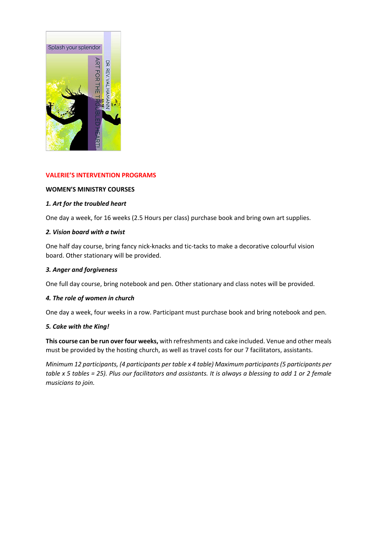

## **VALERIE'S INTERVENTION PROGRAMS**

## **WOMEN'S MINISTRY COURSES**

## *1. Art for the troubled heart*

One day a week, for 16 weeks (2.5 Hours per class) purchase book and bring own art supplies.

## *2. Vision board with a twist*

One half day course, bring fancy nick-knacks and tic-tacks to make a decorative colourful vision board. Other stationary will be provided.

## *3. Anger and forgiveness*

One full day course, bring notebook and pen. Other stationary and class notes will be provided.

## *4. The role of women in church*

One day a week, four weeks in a row. Participant must purchase book and bring notebook and pen.

## *5. Cake with the King!*

**This course can be run over four weeks,** with refreshments and cake included. Venue and other meals must be provided by the hosting church, as well as travel costs for our 7 facilitators, assistants.

*Minimum 12 participants, (4 participants per table x 4 table) Maximum participants(5 participants per table x 5 tables = 25). Plus our facilitators and assistants. It is always a blessing to add 1 or 2 female musicians to join.*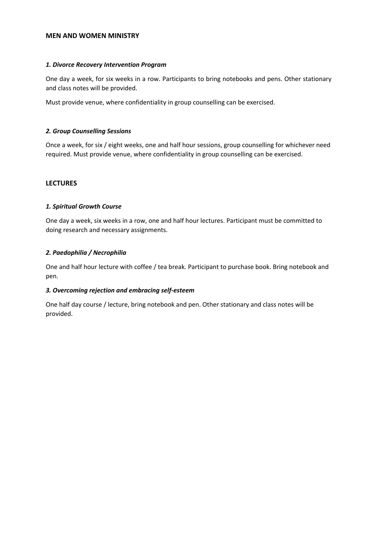### **MEN AND WOMEN MINISTRY**

## *1. Divorce Recovery Intervention Program*

One day a week, for six weeks in a row. Participants to bring notebooks and pens. Other stationary and class notes will be provided.

Must provide venue, where confidentiality in group counselling can be exercised.

### *2. Group Counselling Sessions*

Once a week, for six / eight weeks, one and half hour sessions, group counselling for whichever need required. Must provide venue, where confidentiality in group counselling can be exercised.

### **LECTURES**

## *1. Spiritual Growth Course*

One day a week, six weeks in a row, one and half hour lectures. Participant must be committed to doing research and necessary assignments.

### *2. Paedophilia / Necrophilia*

One and half hour lecture with coffee / tea break. Participant to purchase book. Bring notebook and pen.

#### *3. Overcoming rejection and embracing self-esteem*

One half day course / lecture, bring notebook and pen. Other stationary and class notes will be provided.